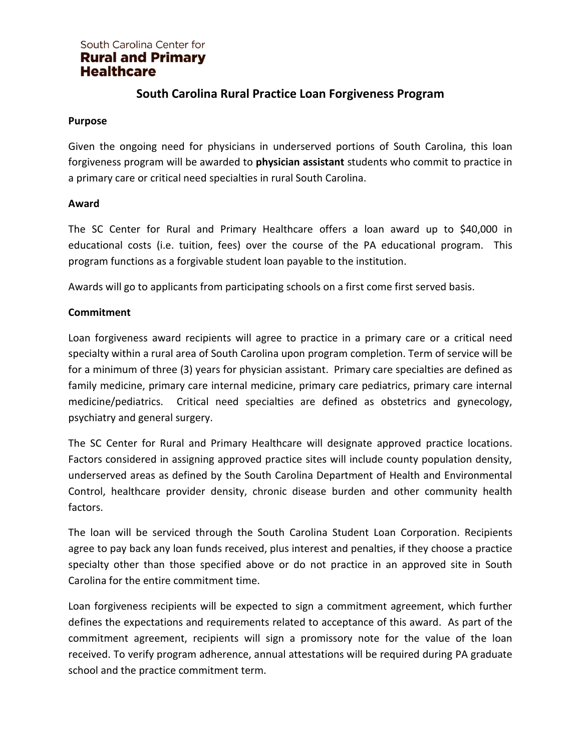# **South Carolina Rural Practice Loan Forgiveness Program**

### **Purpose**

Given the ongoing need for physicians in underserved portions of South Carolina, this loan forgiveness program will be awarded to **physician assistant** students who commit to practice in a primary care or critical need specialties in rural South Carolina.

### **Award**

The SC Center for Rural and Primary Healthcare offers a loan award up to \$40,000 in educational costs (i.e. tuition, fees) over the course of the PA educational program. This program functions as a forgivable student loan payable to the institution.

Awards will go to applicants from participating schools on a first come first served basis.

### **Commitment**

Loan forgiveness award recipients will agree to practice in a primary care or a critical need specialty within a rural area of South Carolina upon program completion. Term of service will be for a minimum of three (3) years for physician assistant. Primary care specialties are defined as family medicine, primary care internal medicine, primary care pediatrics, primary care internal medicine/pediatrics. Critical need specialties are defined as obstetrics and gynecology, psychiatry and general surgery.

The SC Center for Rural and Primary Healthcare will designate approved practice locations. Factors considered in assigning approved practice sites will include county population density, underserved areas as defined by the South Carolina Department of Health and Environmental Control, healthcare provider density, chronic disease burden and other community health factors.

The loan will be serviced through the South Carolina Student Loan Corporation. Recipients agree to pay back any loan funds received, plus interest and penalties, if they choose a practice specialty other than those specified above or do not practice in an approved site in South Carolina for the entire commitment time.

Loan forgiveness recipients will be expected to sign a commitment agreement, which further defines the expectations and requirements related to acceptance of this award. As part of the commitment agreement, recipients will sign a promissory note for the value of the loan received. To verify program adherence, annual attestations will be required during PA graduate school and the practice commitment term.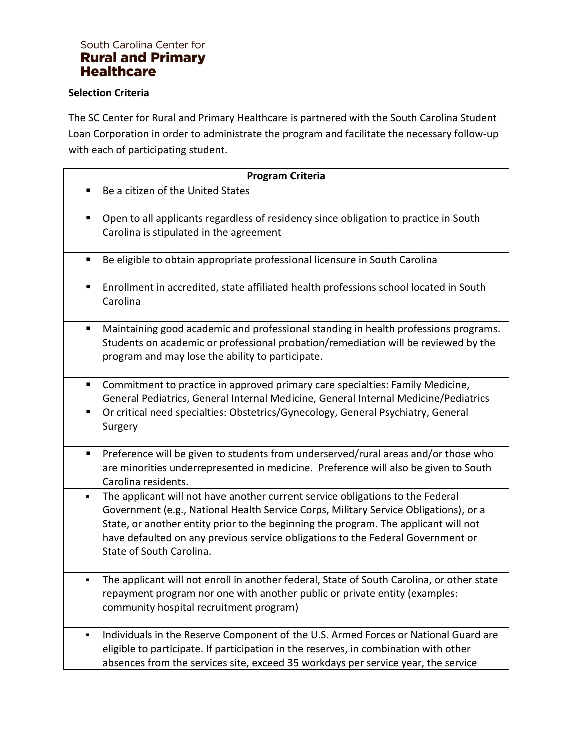#### **Selection Criteria**

The SC Center for Rural and Primary Healthcare is partnered with the South Carolina Student Loan Corporation in order to administrate the program and facilitate the necessary follow-up with each of participating student.

| <b>Program Criteria</b> |                                                                                                                                                                                                                                                                                                                                                                              |  |
|-------------------------|------------------------------------------------------------------------------------------------------------------------------------------------------------------------------------------------------------------------------------------------------------------------------------------------------------------------------------------------------------------------------|--|
| ٠                       | Be a citizen of the United States                                                                                                                                                                                                                                                                                                                                            |  |
| ٠                       | Open to all applicants regardless of residency since obligation to practice in South<br>Carolina is stipulated in the agreement                                                                                                                                                                                                                                              |  |
| ٠                       | Be eligible to obtain appropriate professional licensure in South Carolina                                                                                                                                                                                                                                                                                                   |  |
| п                       | Enrollment in accredited, state affiliated health professions school located in South<br>Carolina                                                                                                                                                                                                                                                                            |  |
| п                       | Maintaining good academic and professional standing in health professions programs.<br>Students on academic or professional probation/remediation will be reviewed by the<br>program and may lose the ability to participate.                                                                                                                                                |  |
| п<br>п                  | Commitment to practice in approved primary care specialties: Family Medicine,<br>General Pediatrics, General Internal Medicine, General Internal Medicine/Pediatrics<br>Or critical need specialties: Obstetrics/Gynecology, General Psychiatry, General<br>Surgery                                                                                                          |  |
| п                       | Preference will be given to students from underserved/rural areas and/or those who<br>are minorities underrepresented in medicine. Preference will also be given to South<br>Carolina residents.                                                                                                                                                                             |  |
| ٠                       | The applicant will not have another current service obligations to the Federal<br>Government (e.g., National Health Service Corps, Military Service Obligations), or a<br>State, or another entity prior to the beginning the program. The applicant will not<br>have defaulted on any previous service obligations to the Federal Government or<br>State of South Carolina. |  |
| ٠                       | The applicant will not enroll in another federal, State of South Carolina, or other state<br>repayment program nor one with another public or private entity (examples:<br>community hospital recruitment program)                                                                                                                                                           |  |
| ٠                       | Individuals in the Reserve Component of the U.S. Armed Forces or National Guard are<br>eligible to participate. If participation in the reserves, in combination with other<br>absences from the services site, exceed 35 workdays per service year, the service                                                                                                             |  |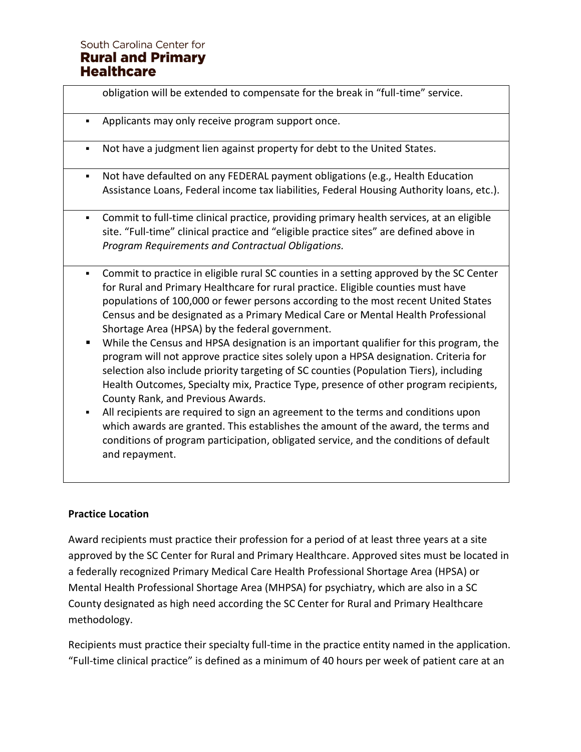|   | obligation will be extended to compensate for the break in "full-time" service.                                                                                                                                                                                                                                                                       |
|---|-------------------------------------------------------------------------------------------------------------------------------------------------------------------------------------------------------------------------------------------------------------------------------------------------------------------------------------------------------|
| ٠ | Applicants may only receive program support once.                                                                                                                                                                                                                                                                                                     |
| ٠ | Not have a judgment lien against property for debt to the United States.                                                                                                                                                                                                                                                                              |
| ٠ | Not have defaulted on any FEDERAL payment obligations (e.g., Health Education<br>Assistance Loans, Federal income tax liabilities, Federal Housing Authority loans, etc.).                                                                                                                                                                            |
| ٠ | Commit to full-time clinical practice, providing primary health services, at an eligible<br>site. "Full-time" clinical practice and "eligible practice sites" are defined above in<br>Program Requirements and Contractual Obligations.                                                                                                               |
|   | Commit to practice in eligible rural SC counties in a setting approved by the SC Center<br>for Rural and Primary Healthcare for rural practice. Eligible counties must have<br>populations of 100,000 or fewer persons according to the most recent United States<br>Census and be designated as a Primary Medical Care or Mental Health Professional |

- Shortage Area (HPSA) by the federal government. ■ While the Census and HPSA designation is an important qualifier for this program, the program will not approve practice sites solely upon a HPSA designation. Criteria for selection also include priority targeting of SC counties (Population Tiers), including Health Outcomes, Specialty mix, Practice Type, presence of other program recipients, County Rank, and Previous Awards.
- **EXECT** All recipients are required to sign an agreement to the terms and conditions upon which awards are granted. This establishes the amount of the award, the terms and conditions of program participation, obligated service, and the conditions of default and repayment.

### **Practice Location**

Award recipients must practice their profession for a period of at least three years at a site approved by the SC Center for Rural and Primary Healthcare. Approved sites must be located in a federally recognized Primary Medical Care Health Professional Shortage Area (HPSA) or Mental Health Professional Shortage Area (MHPSA) for psychiatry, which are also in a SC County designated as high need according the SC Center for Rural and Primary Healthcare methodology.

Recipients must practice their specialty full-time in the practice entity named in the application. "Full-time clinical practice" is defined as a minimum of 40 hours per week of patient care at an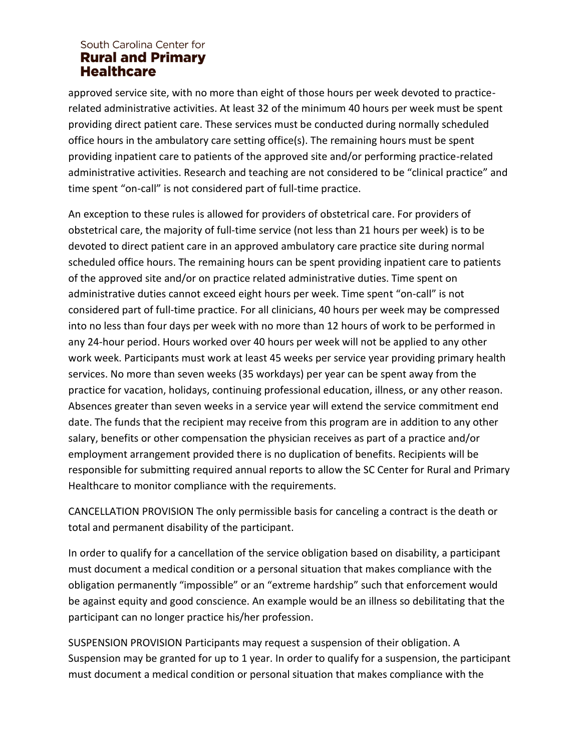approved service site, with no more than eight of those hours per week devoted to practicerelated administrative activities. At least 32 of the minimum 40 hours per week must be spent providing direct patient care. These services must be conducted during normally scheduled office hours in the ambulatory care setting office(s). The remaining hours must be spent providing inpatient care to patients of the approved site and/or performing practice-related administrative activities. Research and teaching are not considered to be "clinical practice" and time spent "on-call" is not considered part of full-time practice.

An exception to these rules is allowed for providers of obstetrical care. For providers of obstetrical care, the majority of full-time service (not less than 21 hours per week) is to be devoted to direct patient care in an approved ambulatory care practice site during normal scheduled office hours. The remaining hours can be spent providing inpatient care to patients of the approved site and/or on practice related administrative duties. Time spent on administrative duties cannot exceed eight hours per week. Time spent "on-call" is not considered part of full-time practice. For all clinicians, 40 hours per week may be compressed into no less than four days per week with no more than 12 hours of work to be performed in any 24-hour period. Hours worked over 40 hours per week will not be applied to any other work week. Participants must work at least 45 weeks per service year providing primary health services. No more than seven weeks (35 workdays) per year can be spent away from the practice for vacation, holidays, continuing professional education, illness, or any other reason. Absences greater than seven weeks in a service year will extend the service commitment end date. The funds that the recipient may receive from this program are in addition to any other salary, benefits or other compensation the physician receives as part of a practice and/or employment arrangement provided there is no duplication of benefits. Recipients will be responsible for submitting required annual reports to allow the SC Center for Rural and Primary Healthcare to monitor compliance with the requirements.

CANCELLATION PROVISION The only permissible basis for canceling a contract is the death or total and permanent disability of the participant.

In order to qualify for a cancellation of the service obligation based on disability, a participant must document a medical condition or a personal situation that makes compliance with the obligation permanently "impossible" or an "extreme hardship" such that enforcement would be against equity and good conscience. An example would be an illness so debilitating that the participant can no longer practice his/her profession.

SUSPENSION PROVISION Participants may request a suspension of their obligation. A Suspension may be granted for up to 1 year. In order to qualify for a suspension, the participant must document a medical condition or personal situation that makes compliance with the